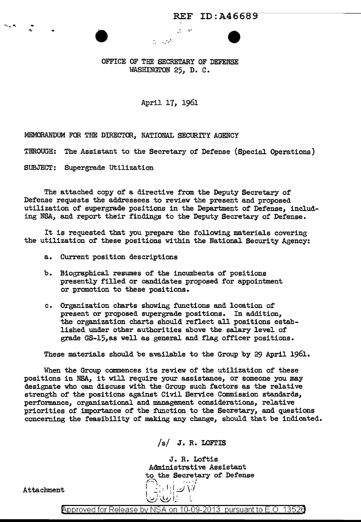OFFICE OF THE SECRETARY OF DEFENSE WASHINGTON 25, D. C.

 $\mathcal{L}^{\text{max}}$ 

2010/11

April 17, 1961

MEMORANDUM FOR THE DIRECTOR, NATIONAL SECURITY AGENCY THROUGH: The Assistant to the Secretary of Defense (Special Operations) SUBJECT: Supergrade Utilization

The attached copy of a directive from the Deputy Secretary of Defense requests the addressees to review the present and proposed utilization of supergrade positions in the Department of Defense, including NSA, and report their findings to the Deputy Secretary of Defense.

It is requested that you prepare the following materials covering the utilization of these positions within the National Security Agency:

- a. Current position descriptions
- b. Biographical resumes of the incumbents of positions presently filled or candidates proposed for appointment or promotion to these positions.
- c. Organization charts showing functions and location of present or proposed supergrade positions. In addition, the organization charts should reflect all positions established under other authorities above the salary level of grade GS-15, as well as general and flag officer positions.

These materials should be available to the Group by 29 April 1961.

When the Group commences its review of the utilization of these positions in NSA, it will require your assistance, or someone you may designate who can discuss with the Group such factors as the relative strength of the positions against Civil Service Commission standards, performance, organizational and management considerations, relative priorities of importance of the function to the Secretary, and questions concerning the feasibility of making any change, should that be indicated.

 $/s/$  J. R. LOFTIS

J. R. Loftis Administrative Assistant to the Secretary of Defense

Attachment

Approved for Release by NSA on 10-09-2013 pursuant to E.O. 13526

 $\mathbb{R}^1 \cup \mathbb{R}^1$ 

! اِ رَبُّلُ